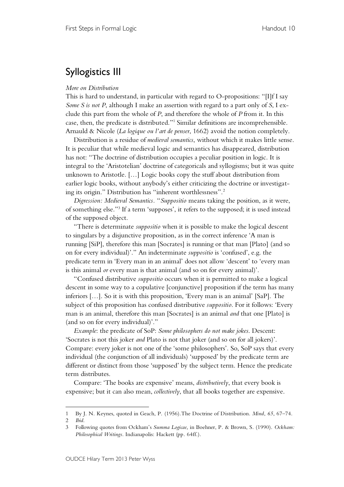## Syllogistics III

## *More on Distribution*

This is hard to understand, in particular with regard to O-propositions: "[I]f I say *Some S is not P*, although I make an assertion with regard to a part only of *S*, I exclude this part from the whole of *P*, and therefore the whole of *P* from it. In this case, then, the predicate is distributed."1 Similar definitions are incomprehensible. Arnauld & Nicole (*La logique ou l'art de penser*, 1662) avoid the notion completely.

Distribution is a residue of *medieval semantics*, without which it makes little sense. It is peculiar that while medieval logic and semantics has disappeared, distribution has not: "The doctrine of distribution occupies a peculiar position in logic. It is integral to the 'Aristotelian' doctrine of categoricals and syllogisms; but it was quite unknown to Aristotle. […] Logic books copy the stuff about distribution from earlier logic books, without anybody's either criticizing the doctrine or investigating its origin." Distribution has "inherent worthlessness". 2

*Digression: Medieval Semantics.* "*Suppositio* means taking the position, as it were, of something else."3 If a term 'supposes', it refers to the supposed; it is used instead of the supposed object.

"There is determinate *suppositio* when it is possible to make the logical descent to singulars by a disjunctive proposition, as in the correct inference 'A man is running [SiP], therefore this man [Socrates] is running or that man [Plato] (and so on for every individual)'." An indeterminate *suppositio* is 'confused', e.g. the predicate term in 'Every man in an animal' does not allow 'descent' to 'every man is this animal *or* every man is that animal (and so on for every animal)'.

"Confused distributive *suppositio* occurs when it is permitted to make a logical descent in some way to a copulative [conjunctive] proposition if the term has many inferiors […]. So it is with this proposition, 'Every man is an animal' [SaP]. The subject of this proposition has confused distributive *suppositio*. For it follows: 'Every man is an animal, therefore this man [Socrates] is an animal *and* that one [Plato] is (and so on for every individual)'."

*Example*: the predicate of SoP: *Some philosophers do not make jokes*. Descent: 'Socrates is not this joker *and* Plato is not that joker (and so on for all jokers)'. Compare: every joker is not one of the 'some philosophers'. So, SoP says that every individual (the conjunction of all individuals) 'supposed' by the predicate term are different or distinct from those 'supposed' by the subject term. Hence the predicate term distributes.

Compare: 'The books are expensive' means, *distributively*, that every book is expensive; but it can also mean, *collectively*, that all books together are expensive.

 $\overline{a}$ 

<sup>1</sup> By J. N. Keynes, quoted in Geach, P. (1956).The Doctrine of Distribution. *Mind*, *65*, 67–74.

<sup>2</sup> *Ibid*.

<sup>3</sup> Following quotes from Ockham's *Summa Logicae*, in Boehner, P. & Brown, S. (1990). *Ockham: Philosophical Writings*. Indianapolis: Hackett (pp. 64ff.).